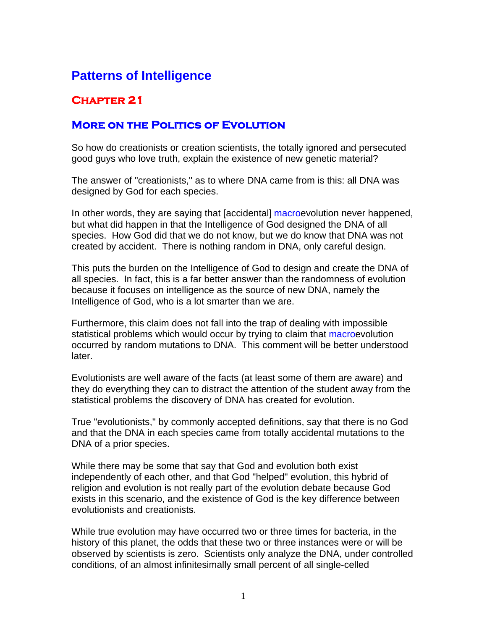## **Patterns of Intelligence**

## **Chapter 21**

## **More on the Politics of Evolution**

So how do creationists or creation scientists, the totally ignored and persecuted good guys who love truth, explain the existence of new genetic material?

The answer of "creationists," as to where DNA came from is this: all DNA was designed by God for each species.

In other words, they are saying that [accidental] macroevolution never happened, but what did happen in that the Intelligence of God designed the DNA of all species. How God did that we do not know, but we do know that DNA was not created by accident. There is nothing random in DNA, only careful design.

This puts the burden on the Intelligence of God to design and create the DNA of all species. In fact, this is a far better answer than the randomness of evolution because it focuses on intelligence as the source of new DNA, namely the Intelligence of God, who is a lot smarter than we are.

Furthermore, this claim does not fall into the trap of dealing with impossible statistical problems which would occur by trying to claim that macroevolution occurred by random mutations to DNA. This comment will be better understood later.

Evolutionists are well aware of the facts (at least some of them are aware) and they do everything they can to distract the attention of the student away from the statistical problems the discovery of DNA has created for evolution.

True "evolutionists," by commonly accepted definitions, say that there is no God and that the DNA in each species came from totally accidental mutations to the DNA of a prior species.

While there may be some that say that God and evolution both exist independently of each other, and that God "helped" evolution, this hybrid of religion and evolution is not really part of the evolution debate because God exists in this scenario, and the existence of God is the key difference between evolutionists and creationists.

While true evolution may have occurred two or three times for bacteria, in the history of this planet, the odds that these two or three instances were or will be observed by scientists is zero. Scientists only analyze the DNA, under controlled conditions, of an almost infinitesimally small percent of all single-celled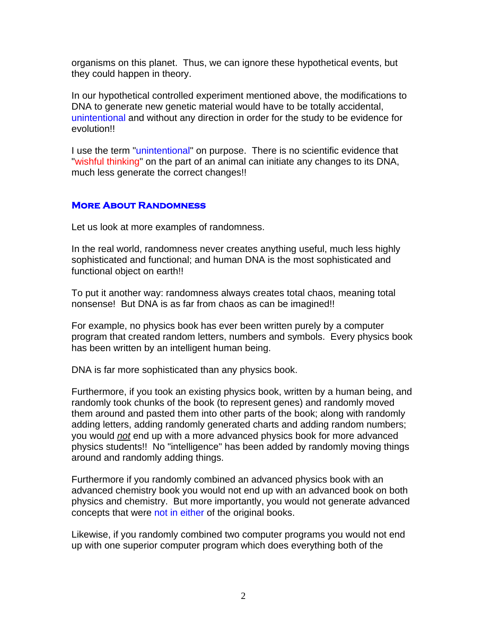organisms on this planet. Thus, we can ignore these hypothetical events, but they could happen in theory.

In our hypothetical controlled experiment mentioned above, the modifications to DNA to generate new genetic material would have to be totally accidental, unintentional and without any direction in order for the study to be evidence for evolution!!

I use the term "unintentional" on purpose. There is no scientific evidence that "wishful thinking" on the part of an animal can initiate any changes to its DNA, much less generate the correct changes!!

## **More About Randomness**

Let us look at more examples of randomness.

In the real world, randomness never creates anything useful, much less highly sophisticated and functional; and human DNA is the most sophisticated and functional object on earth!!

To put it another way: randomness always creates total chaos, meaning total nonsense! But DNA is as far from chaos as can be imagined!!

For example, no physics book has ever been written purely by a computer program that created random letters, numbers and symbols. Every physics book has been written by an intelligent human being.

DNA is far more sophisticated than any physics book.

Furthermore, if you took an existing physics book, written by a human being, and randomly took chunks of the book (to represent genes) and randomly moved them around and pasted them into other parts of the book; along with randomly adding letters, adding randomly generated charts and adding random numbers; you would *not* end up with a more advanced physics book for more advanced physics students!! No "intelligence" has been added by randomly moving things around and randomly adding things.

Furthermore if you randomly combined an advanced physics book with an advanced chemistry book you would not end up with an advanced book on both physics and chemistry. But more importantly, you would not generate advanced concepts that were not in either of the original books.

Likewise, if you randomly combined two computer programs you would not end up with one superior computer program which does everything both of the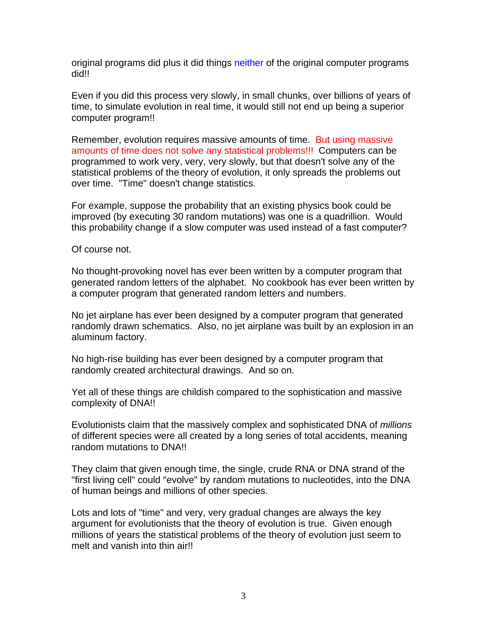original programs did plus it did things neither of the original computer programs did!!

Even if you did this process very slowly, in small chunks, over billions of years of time, to simulate evolution in real time, it would still not end up being a superior computer program!!

Remember, evolution requires massive amounts of time. But using massive amounts of time does not solve any statistical problems!!! Computers can be programmed to work very, very, very slowly, but that doesn't solve any of the statistical problems of the theory of evolution, it only spreads the problems out over time. "Time" doesn't change statistics.

For example, suppose the probability that an existing physics book could be improved (by executing 30 random mutations) was one is a quadrillion. Would this probability change if a slow computer was used instead of a fast computer?

Of course not.

No thought-provoking novel has ever been written by a computer program that generated random letters of the alphabet. No cookbook has ever been written by a computer program that generated random letters and numbers.

No jet airplane has ever been designed by a computer program that generated randomly drawn schematics. Also, no jet airplane was built by an explosion in an aluminum factory.

No high-rise building has ever been designed by a computer program that randomly created architectural drawings. And so on.

Yet all of these things are childish compared to the sophistication and massive complexity of DNA!!

Evolutionists claim that the massively complex and sophisticated DNA of *millions* of different species were all created by a long series of total accidents, meaning random mutations to DNA!!

They claim that given enough time, the single, crude RNA or DNA strand of the "first living cell" could "evolve" by random mutations to nucleotides, into the DNA of human beings and millions of other species.

Lots and lots of "time" and very, very gradual changes are always the key argument for evolutionists that the theory of evolution is true. Given enough millions of years the statistical problems of the theory of evolution just seem to melt and vanish into thin air!!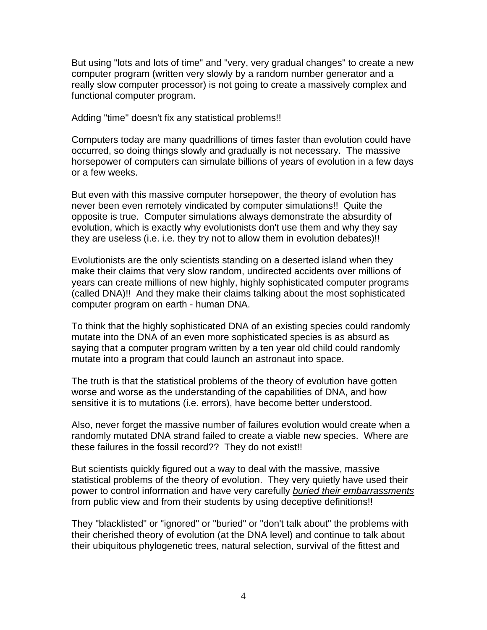But using "lots and lots of time" and "very, very gradual changes" to create a new computer program (written very slowly by a random number generator and a really slow computer processor) is not going to create a massively complex and functional computer program.

Adding "time" doesn't fix any statistical problems!!

Computers today are many quadrillions of times faster than evolution could have occurred, so doing things slowly and gradually is not necessary. The massive horsepower of computers can simulate billions of years of evolution in a few days or a few weeks.

But even with this massive computer horsepower, the theory of evolution has never been even remotely vindicated by computer simulations!! Quite the opposite is true. Computer simulations always demonstrate the absurdity of evolution, which is exactly why evolutionists don't use them and why they say they are useless (i.e. i.e. they try not to allow them in evolution debates)!!

Evolutionists are the only scientists standing on a deserted island when they make their claims that very slow random, undirected accidents over millions of years can create millions of new highly, highly sophisticated computer programs (called DNA)!! And they make their claims talking about the most sophisticated computer program on earth - human DNA.

To think that the highly sophisticated DNA of an existing species could randomly mutate into the DNA of an even more sophisticated species is as absurd as saying that a computer program written by a ten year old child could randomly mutate into a program that could launch an astronaut into space.

The truth is that the statistical problems of the theory of evolution have gotten worse and worse as the understanding of the capabilities of DNA, and how sensitive it is to mutations (i.e. errors), have become better understood.

Also, never forget the massive number of failures evolution would create when a randomly mutated DNA strand failed to create a viable new species. Where are these failures in the fossil record?? They do not exist!!

But scientists quickly figured out a way to deal with the massive, massive statistical problems of the theory of evolution. They very quietly have used their power to control information and have very carefully *buried their embarrassments* from public view and from their students by using deceptive definitions!!

They "blacklisted" or "ignored" or "buried" or "don't talk about" the problems with their cherished theory of evolution (at the DNA level) and continue to talk about their ubiquitous phylogenetic trees, natural selection, survival of the fittest and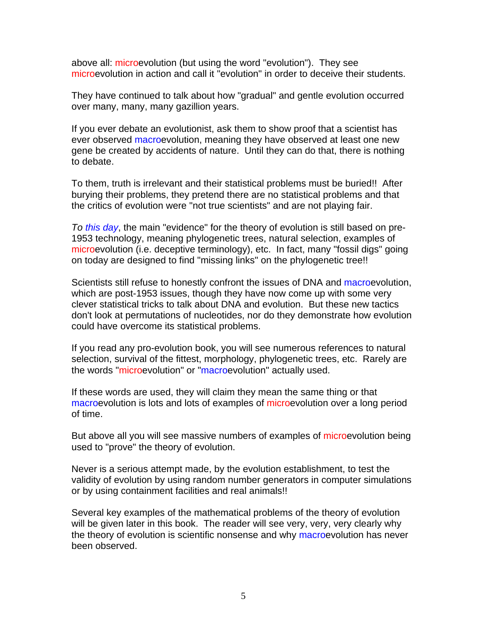above all: microevolution (but using the word "evolution"). They see microevolution in action and call it "evolution" in order to deceive their students.

They have continued to talk about how "gradual" and gentle evolution occurred over many, many, many gazillion years.

If you ever debate an evolutionist, ask them to show proof that a scientist has ever observed macroevolution, meaning they have observed at least one new gene be created by accidents of nature. Until they can do that, there is nothing to debate.

To them, truth is irrelevant and their statistical problems must be buried!! After burying their problems, they pretend there are no statistical problems and that the critics of evolution were "not true scientists" and are not playing fair.

*To this day*, the main "evidence" for the theory of evolution is still based on pre-1953 technology, meaning phylogenetic trees, natural selection, examples of microevolution (i.e. deceptive terminology), etc. In fact, many "fossil digs" going on today are designed to find "missing links" on the phylogenetic tree!!

Scientists still refuse to honestly confront the issues of DNA and macroevolution, which are post-1953 issues, though they have now come up with some very clever statistical tricks to talk about DNA and evolution. But these new tactics don't look at permutations of nucleotides, nor do they demonstrate how evolution could have overcome its statistical problems.

If you read any pro-evolution book, you will see numerous references to natural selection, survival of the fittest, morphology, phylogenetic trees, etc. Rarely are the words "microevolution" or "macroevolution" actually used.

If these words are used, they will claim they mean the same thing or that macroevolution is lots and lots of examples of microevolution over a long period of time.

But above all you will see massive numbers of examples of microevolution being used to "prove" the theory of evolution.

Never is a serious attempt made, by the evolution establishment, to test the validity of evolution by using random number generators in computer simulations or by using containment facilities and real animals!!

Several key examples of the mathematical problems of the theory of evolution will be given later in this book. The reader will see very, very, very clearly why the theory of evolution is scientific nonsense and why macroevolution has never been observed.